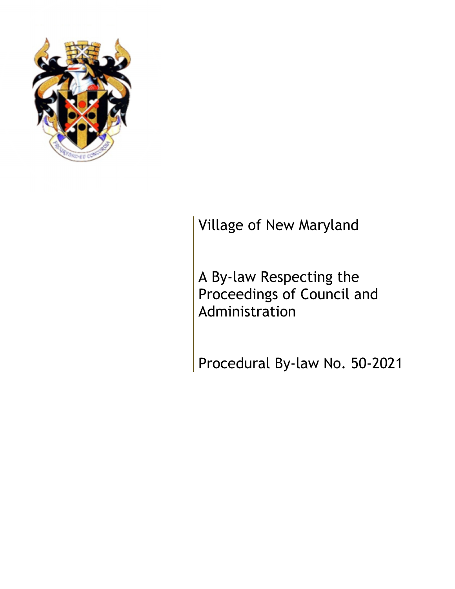

# Village of New Maryland

A By-law Respecting the Proceedings of Council and Administration

Procedural By-law No. 50-2021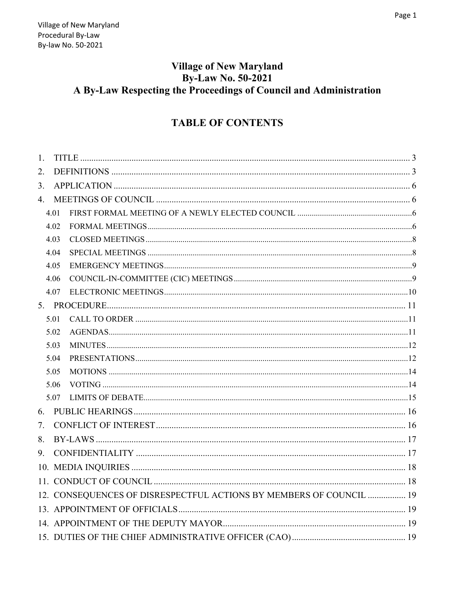# **Village of New Maryland By-Law No. 50-2021** A By-Law Respecting the Proceedings of Council and Administration

# **TABLE OF CONTENTS**

| 1.   |                                                                     |  |
|------|---------------------------------------------------------------------|--|
| 2.   |                                                                     |  |
| 3.   |                                                                     |  |
| 4.   |                                                                     |  |
| 4.01 |                                                                     |  |
| 4.02 |                                                                     |  |
| 4.03 |                                                                     |  |
| 4.04 |                                                                     |  |
| 4.05 |                                                                     |  |
| 4.06 |                                                                     |  |
| 4.07 |                                                                     |  |
|      |                                                                     |  |
| 5.01 |                                                                     |  |
| 5.02 |                                                                     |  |
| 5.03 |                                                                     |  |
| 5.04 |                                                                     |  |
| 5.05 |                                                                     |  |
| 5.06 |                                                                     |  |
| 5.07 |                                                                     |  |
| 6.   |                                                                     |  |
| 7.   |                                                                     |  |
| 8.   |                                                                     |  |
| 9.   |                                                                     |  |
|      |                                                                     |  |
|      |                                                                     |  |
|      | 12. CONSEQUENCES OF DISRESPECTFUL ACTIONS BY MEMBERS OF COUNCIL  19 |  |
|      |                                                                     |  |
|      |                                                                     |  |
|      |                                                                     |  |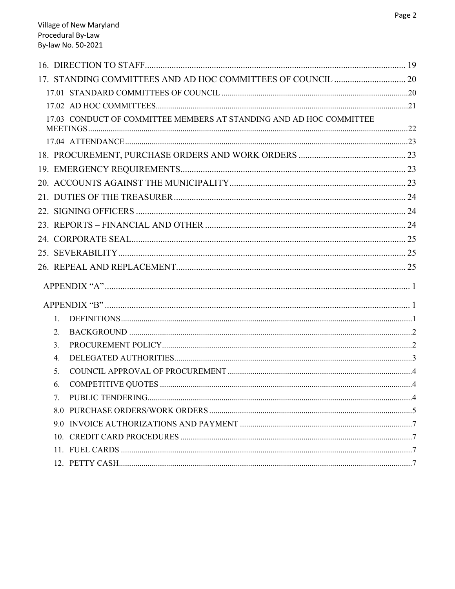| 17.03 CONDUCT OF COMMITTEE MEMBERS AT STANDING AND AD HOC COMMITTEE |  |
|---------------------------------------------------------------------|--|
|                                                                     |  |
|                                                                     |  |
|                                                                     |  |
|                                                                     |  |
|                                                                     |  |
|                                                                     |  |
|                                                                     |  |
|                                                                     |  |
|                                                                     |  |
|                                                                     |  |
|                                                                     |  |
|                                                                     |  |
|                                                                     |  |
| 1.                                                                  |  |
| 2.                                                                  |  |
| 3 <sub>1</sub>                                                      |  |
| 4.                                                                  |  |
| 5.                                                                  |  |
| 6.                                                                  |  |
| 7.                                                                  |  |
|                                                                     |  |
|                                                                     |  |
|                                                                     |  |
|                                                                     |  |
|                                                                     |  |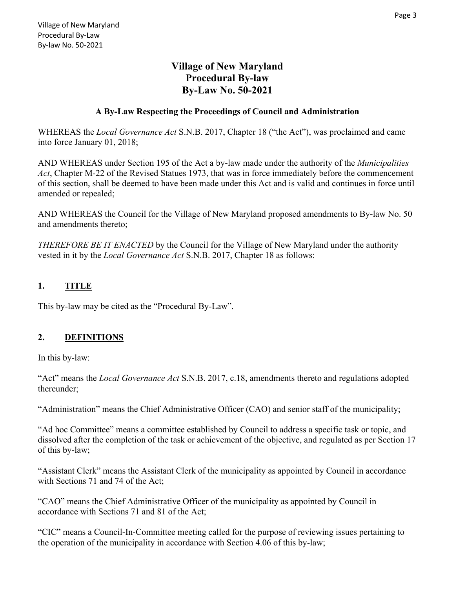# **Village of New Maryland Procedural By-law By-Law No. 50-2021**

#### **A By-Law Respecting the Proceedings of Council and Administration**

WHEREAS the *Local Governance Act* S.N.B. 2017, Chapter 18 ("the Act"), was proclaimed and came into force January 01, 2018;

AND WHEREAS under Section 195 of the Act a by-law made under the authority of the *Municipalities Act*, Chapter M-22 of the Revised Statues 1973, that was in force immediately before the commencement of this section, shall be deemed to have been made under this Act and is valid and continues in force until amended or repealed;

AND WHEREAS the Council for the Village of New Maryland proposed amendments to By-law No. 50 and amendments thereto;

*THEREFORE BE IT ENACTED* by the Council for the Village of New Maryland under the authority vested in it by the *Local Governance Act* S.N.B. 2017, Chapter 18 as follows:

#### **1. TITLE**

This by-law may be cited as the "Procedural By-Law".

# **2. DEFINITIONS**

In this by-law:

"Act" means the *Local Governance Act* S.N.B. 2017, c.18, amendments thereto and regulations adopted thereunder;

"Administration" means the Chief Administrative Officer (CAO) and senior staff of the municipality;

"Ad hoc Committee" means a committee established by Council to address a specific task or topic, and dissolved after the completion of the task or achievement of the objective, and regulated as per Section 17 of this by-law;

"Assistant Clerk" means the Assistant Clerk of the municipality as appointed by Council in accordance with Sections 71 and 74 of the Act;

"CAO" means the Chief Administrative Officer of the municipality as appointed by Council in accordance with Sections 71 and 81 of the Act;

"CIC" means a Council-In-Committee meeting called for the purpose of reviewing issues pertaining to the operation of the municipality in accordance with Section 4.06 of this by-law;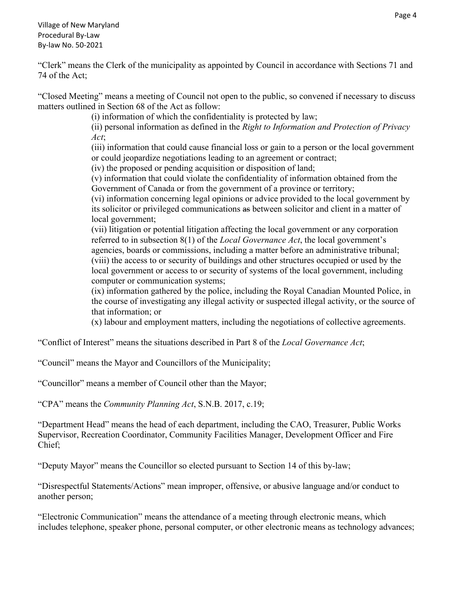Village of New Maryland Procedural By‐Law By‐law No. 50‐2021

"Clerk" means the Clerk of the municipality as appointed by Council in accordance with Sections 71 and 74 of the Act;

"Closed Meeting" means a meeting of Council not open to the public, so convened if necessary to discuss matters outlined in Section 68 of the Act as follow:

(i) information of which the confidentiality is protected by law;

(ii) personal information as defined in the *Right to Information and Protection of Privacy Act*;

(iii) information that could cause financial loss or gain to a person or the local government or could jeopardize negotiations leading to an agreement or contract;

(iv) the proposed or pending acquisition or disposition of land;

(v) information that could violate the confidentiality of information obtained from the Government of Canada or from the government of a province or territory;

(vi) information concerning legal opinions or advice provided to the local government by its solicitor or privileged communications as between solicitor and client in a matter of local government;

(vii) litigation or potential litigation affecting the local government or any corporation referred to in subsection 8(1) of the *Local Governance Act*, the local government's agencies, boards or commissions, including a matter before an administrative tribunal; (viii) the access to or security of buildings and other structures occupied or used by the local government or access to or security of systems of the local government, including computer or communication systems;

(ix) information gathered by the police, including the Royal Canadian Mounted Police, in the course of investigating any illegal activity or suspected illegal activity, or the source of that information; or

(x) labour and employment matters, including the negotiations of collective agreements.

"Conflict of Interest" means the situations described in Part 8 of the *Local Governance Act*;

"Council" means the Mayor and Councillors of the Municipality;

"Councillor" means a member of Council other than the Mayor;

"CPA" means the *Community Planning Act*, S.N.B. 2017, c.19;

"Department Head" means the head of each department, including the CAO, Treasurer, Public Works Supervisor, Recreation Coordinator, Community Facilities Manager, Development Officer and Fire Chief;

"Deputy Mayor" means the Councillor so elected pursuant to Section 14 of this by-law;

"Disrespectful Statements/Actions" mean improper, offensive, or abusive language and/or conduct to another person;

"Electronic Communication" means the attendance of a meeting through electronic means, which includes telephone, speaker phone, personal computer, or other electronic means as technology advances;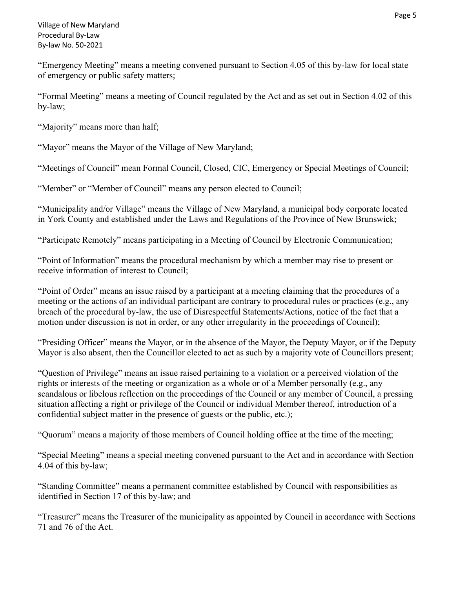"Emergency Meeting" means a meeting convened pursuant to Section 4.05 of this by-law for local state of emergency or public safety matters;

"Formal Meeting" means a meeting of Council regulated by the Act and as set out in Section 4.02 of this by-law;

"Majority" means more than half;

"Mayor" means the Mayor of the Village of New Maryland;

"Meetings of Council" mean Formal Council, Closed, CIC, Emergency or Special Meetings of Council;

"Member" or "Member of Council" means any person elected to Council;

"Municipality and/or Village" means the Village of New Maryland, a municipal body corporate located in York County and established under the Laws and Regulations of the Province of New Brunswick;

"Participate Remotely" means participating in a Meeting of Council by Electronic Communication;

"Point of Information" means the procedural mechanism by which a member may rise to present or receive information of interest to Council;

"Point of Order" means an issue raised by a participant at a meeting claiming that the procedures of a meeting or the actions of an individual participant are contrary to procedural rules or practices (e.g., any breach of the procedural by-law, the use of Disrespectful Statements/Actions, notice of the fact that a motion under discussion is not in order, or any other irregularity in the proceedings of Council);

"Presiding Officer" means the Mayor, or in the absence of the Mayor, the Deputy Mayor, or if the Deputy Mayor is also absent, then the Councillor elected to act as such by a majority vote of Councillors present;

"Question of Privilege" means an issue raised pertaining to a violation or a perceived violation of the rights or interests of the meeting or organization as a whole or of a Member personally (e.g., any scandalous or libelous reflection on the proceedings of the Council or any member of Council, a pressing situation affecting a right or privilege of the Council or individual Member thereof, introduction of a confidential subject matter in the presence of guests or the public, etc.);

"Quorum" means a majority of those members of Council holding office at the time of the meeting;

"Special Meeting" means a special meeting convened pursuant to the Act and in accordance with Section 4.04 of this by-law;

"Standing Committee" means a permanent committee established by Council with responsibilities as identified in Section 17 of this by-law; and

"Treasurer" means the Treasurer of the municipality as appointed by Council in accordance with Sections 71 and 76 of the Act.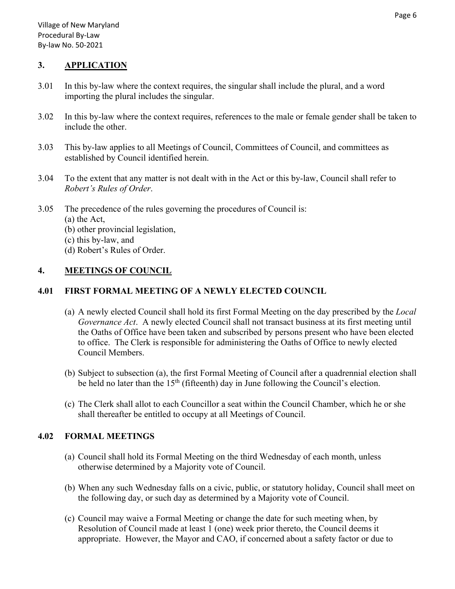#### **3. APPLICATION**

- 3.01 In this by-law where the context requires, the singular shall include the plural, and a word importing the plural includes the singular.
- 3.02 In this by-law where the context requires, references to the male or female gender shall be taken to include the other.
- 3.03 This by-law applies to all Meetings of Council, Committees of Council, and committees as established by Council identified herein.
- 3.04 To the extent that any matter is not dealt with in the Act or this by-law, Council shall refer to *Robert's Rules of Order*.
- 3.05 The precedence of the rules governing the procedures of Council is:
	- (a) the Act,
	- (b) other provincial legislation,
	- (c) this by-law, and
	- (d) Robert's Rules of Order.

#### **4. MEETINGS OF COUNCIL**

#### **4.01 FIRST FORMAL MEETING OF A NEWLY ELECTED COUNCIL**

- (a) A newly elected Council shall hold its first Formal Meeting on the day prescribed by the *Local Governance Act*. A newly elected Council shall not transact business at its first meeting until the Oaths of Office have been taken and subscribed by persons present who have been elected to office. The Clerk is responsible for administering the Oaths of Office to newly elected Council Members.
- (b) Subject to subsection (a), the first Formal Meeting of Council after a quadrennial election shall be held no later than the  $15<sup>th</sup>$  (fifteenth) day in June following the Council's election.
- (c) The Clerk shall allot to each Councillor a seat within the Council Chamber, which he or she shall thereafter be entitled to occupy at all Meetings of Council.

# **4.02 FORMAL MEETINGS**

- (a) Council shall hold its Formal Meeting on the third Wednesday of each month, unless otherwise determined by a Majority vote of Council.
- (b) When any such Wednesday falls on a civic, public, or statutory holiday, Council shall meet on the following day, or such day as determined by a Majority vote of Council.
- (c) Council may waive a Formal Meeting or change the date for such meeting when, by Resolution of Council made at least 1 (one) week prior thereto, the Council deems it appropriate. However, the Mayor and CAO, if concerned about a safety factor or due to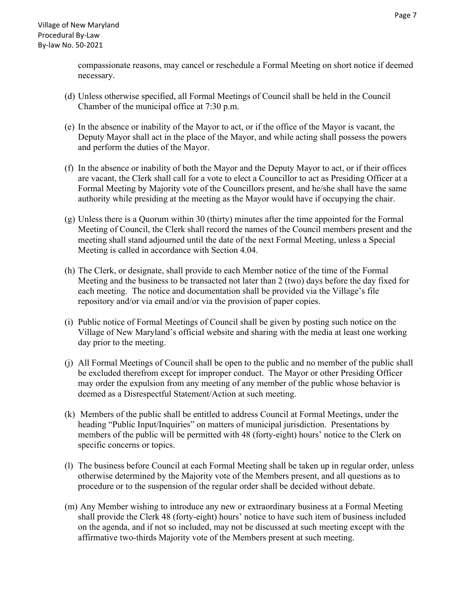compassionate reasons, may cancel or reschedule a Formal Meeting on short notice if deemed necessary.

- (d) Unless otherwise specified, all Formal Meetings of Council shall be held in the Council Chamber of the municipal office at 7:30 p.m.
- (e) In the absence or inability of the Mayor to act, or if the office of the Mayor is vacant, the Deputy Mayor shall act in the place of the Mayor, and while acting shall possess the powers and perform the duties of the Mayor.
- (f) In the absence or inability of both the Mayor and the Deputy Mayor to act, or if their offices are vacant, the Clerk shall call for a vote to elect a Councillor to act as Presiding Officer at a Formal Meeting by Majority vote of the Councillors present, and he/she shall have the same authority while presiding at the meeting as the Mayor would have if occupying the chair.
- (g) Unless there is a Quorum within 30 (thirty) minutes after the time appointed for the Formal Meeting of Council, the Clerk shall record the names of the Council members present and the meeting shall stand adjourned until the date of the next Formal Meeting, unless a Special Meeting is called in accordance with Section 4.04.
- (h) The Clerk, or designate, shall provide to each Member notice of the time of the Formal Meeting and the business to be transacted not later than 2 (two) days before the day fixed for each meeting. The notice and documentation shall be provided via the Village's file repository and/or via email and/or via the provision of paper copies.
- (i) Public notice of Formal Meetings of Council shall be given by posting such notice on the Village of New Maryland's official website and sharing with the media at least one working day prior to the meeting.
- (j) All Formal Meetings of Council shall be open to the public and no member of the public shall be excluded therefrom except for improper conduct. The Mayor or other Presiding Officer may order the expulsion from any meeting of any member of the public whose behavior is deemed as a Disrespectful Statement/Action at such meeting.
- (k) Members of the public shall be entitled to address Council at Formal Meetings, under the heading "Public Input/Inquiries" on matters of municipal jurisdiction. Presentations by members of the public will be permitted with 48 (forty-eight) hours' notice to the Clerk on specific concerns or topics.
- (l) The business before Council at each Formal Meeting shall be taken up in regular order, unless otherwise determined by the Majority vote of the Members present, and all questions as to procedure or to the suspension of the regular order shall be decided without debate.
- (m) Any Member wishing to introduce any new or extraordinary business at a Formal Meeting shall provide the Clerk 48 (forty-eight) hours' notice to have such item of business included on the agenda, and if not so included, may not be discussed at such meeting except with the affirmative two-thirds Majority vote of the Members present at such meeting.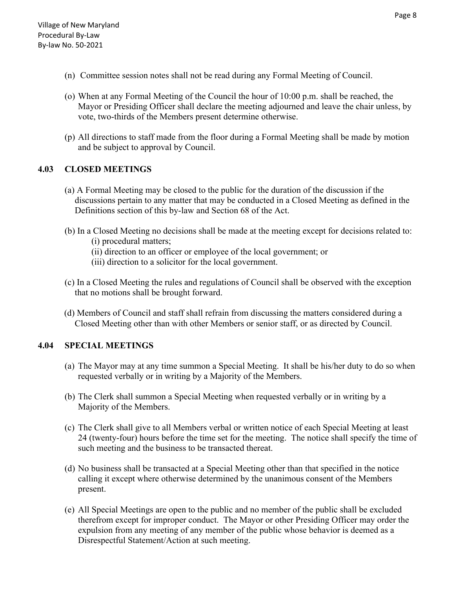- (n) Committee session notes shall not be read during any Formal Meeting of Council.
- (o) When at any Formal Meeting of the Council the hour of 10:00 p.m. shall be reached, the Mayor or Presiding Officer shall declare the meeting adjourned and leave the chair unless, by vote, two-thirds of the Members present determine otherwise.
- (p) All directions to staff made from the floor during a Formal Meeting shall be made by motion and be subject to approval by Council.

# **4.03 CLOSED MEETINGS**

- (a) A Formal Meeting may be closed to the public for the duration of the discussion if the discussions pertain to any matter that may be conducted in a Closed Meeting as defined in the Definitions section of this by-law and Section 68 of the Act.
- (b) In a Closed Meeting no decisions shall be made at the meeting except for decisions related to: (i) procedural matters;
	- (ii) direction to an officer or employee of the local government; or
	- (iii) direction to a solicitor for the local government.
- (c) In a Closed Meeting the rules and regulations of Council shall be observed with the exception that no motions shall be brought forward.
- (d) Members of Council and staff shall refrain from discussing the matters considered during a Closed Meeting other than with other Members or senior staff, or as directed by Council.

# **4.04 SPECIAL MEETINGS**

- (a) The Mayor may at any time summon a Special Meeting. It shall be his/her duty to do so when requested verbally or in writing by a Majority of the Members.
- (b) The Clerk shall summon a Special Meeting when requested verbally or in writing by a Majority of the Members.
- (c) The Clerk shall give to all Members verbal or written notice of each Special Meeting at least 24 (twenty-four) hours before the time set for the meeting. The notice shall specify the time of such meeting and the business to be transacted thereat.
- (d) No business shall be transacted at a Special Meeting other than that specified in the notice calling it except where otherwise determined by the unanimous consent of the Members present.
- (e) All Special Meetings are open to the public and no member of the public shall be excluded therefrom except for improper conduct. The Mayor or other Presiding Officer may order the expulsion from any meeting of any member of the public whose behavior is deemed as a Disrespectful Statement/Action at such meeting.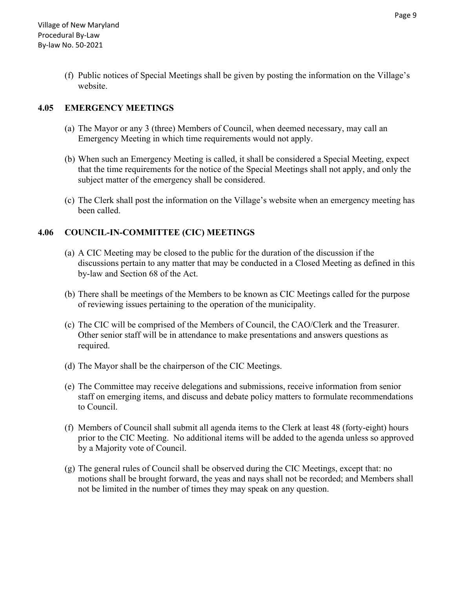(f) Public notices of Special Meetings shall be given by posting the information on the Village's website.

### **4.05 EMERGENCY MEETINGS**

- (a) The Mayor or any 3 (three) Members of Council, when deemed necessary, may call an Emergency Meeting in which time requirements would not apply.
- (b) When such an Emergency Meeting is called, it shall be considered a Special Meeting, expect that the time requirements for the notice of the Special Meetings shall not apply, and only the subject matter of the emergency shall be considered.
- (c) The Clerk shall post the information on the Village's website when an emergency meeting has been called.

#### **4.06 COUNCIL-IN-COMMITTEE (CIC) MEETINGS**

- (a) A CIC Meeting may be closed to the public for the duration of the discussion if the discussions pertain to any matter that may be conducted in a Closed Meeting as defined in this by-law and Section 68 of the Act.
- (b) There shall be meetings of the Members to be known as CIC Meetings called for the purpose of reviewing issues pertaining to the operation of the municipality.
- (c) The CIC will be comprised of the Members of Council, the CAO/Clerk and the Treasurer. Other senior staff will be in attendance to make presentations and answers questions as required.
- (d) The Mayor shall be the chairperson of the CIC Meetings.
- (e) The Committee may receive delegations and submissions, receive information from senior staff on emerging items, and discuss and debate policy matters to formulate recommendations to Council.
- (f) Members of Council shall submit all agenda items to the Clerk at least 48 (forty-eight) hours prior to the CIC Meeting. No additional items will be added to the agenda unless so approved by a Majority vote of Council.
- (g) The general rules of Council shall be observed during the CIC Meetings, except that: no motions shall be brought forward, the yeas and nays shall not be recorded; and Members shall not be limited in the number of times they may speak on any question.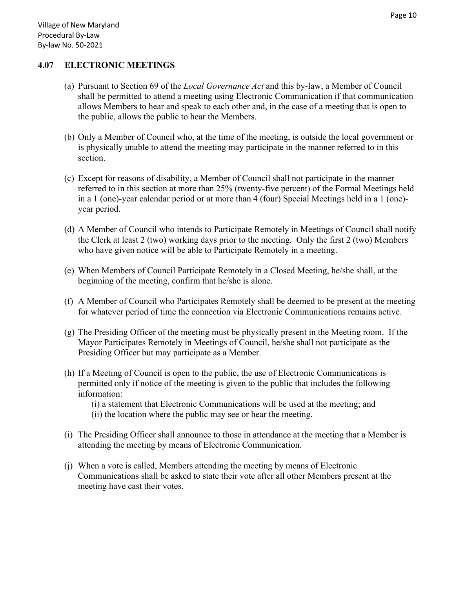#### **4.07 ELECTRONIC MEETINGS**

- (a) Pursuant to Section 69 of the *Local Governance Act* and this by-law, a Member of Council shall be permitted to attend a meeting using Electronic Communication if that communication allows Members to hear and speak to each other and, in the case of a meeting that is open to the public, allows the public to hear the Members.
- (b) Only a Member of Council who, at the time of the meeting, is outside the local government or is physically unable to attend the meeting may participate in the manner referred to in this section.
- (c) Except for reasons of disability, a Member of Council shall not participate in the manner referred to in this section at more than 25% (twenty-five percent) of the Formal Meetings held in a 1 (one)-year calendar period or at more than 4 (four) Special Meetings held in a 1 (one) year period.
- (d) A Member of Council who intends to Participate Remotely in Meetings of Council shall notify the Clerk at least 2 (two) working days prior to the meeting. Only the first 2 (two) Members who have given notice will be able to Participate Remotely in a meeting.
- (e) When Members of Council Participate Remotely in a Closed Meeting, he/she shall, at the beginning of the meeting, confirm that he/she is alone.
- (f) A Member of Council who Participates Remotely shall be deemed to be present at the meeting for whatever period of time the connection via Electronic Communications remains active.
- (g) The Presiding Officer of the meeting must be physically present in the Meeting room. If the Mayor Participates Remotely in Meetings of Council, he/she shall not participate as the Presiding Officer but may participate as a Member.
- (h) If a Meeting of Council is open to the public, the use of Electronic Communications is permitted only if notice of the meeting is given to the public that includes the following information:
	- (i) a statement that Electronic Communications will be used at the meeting; and (ii) the location where the public may see or hear the meeting.
- (i) The Presiding Officer shall announce to those in attendance at the meeting that a Member is attending the meeting by means of Electronic Communication.
- (j) When a vote is called, Members attending the meeting by means of Electronic Communications shall be asked to state their vote after all other Members present at the meeting have cast their votes.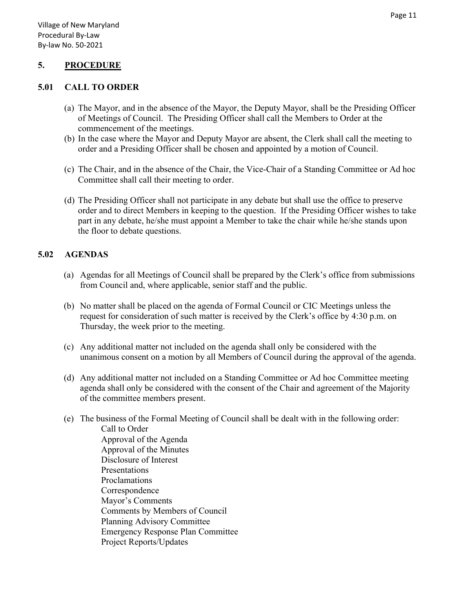#### **5. PROCEDURE**

#### **5.01 CALL TO ORDER**

- (a) The Mayor, and in the absence of the Mayor, the Deputy Mayor, shall be the Presiding Officer of Meetings of Council. The Presiding Officer shall call the Members to Order at the commencement of the meetings.
- (b) In the case where the Mayor and Deputy Mayor are absent, the Clerk shall call the meeting to order and a Presiding Officer shall be chosen and appointed by a motion of Council.
- (c) The Chair, and in the absence of the Chair, the Vice-Chair of a Standing Committee or Ad hoc Committee shall call their meeting to order.
- (d) The Presiding Officer shall not participate in any debate but shall use the office to preserve order and to direct Members in keeping to the question. If the Presiding Officer wishes to take part in any debate, he/she must appoint a Member to take the chair while he/she stands upon the floor to debate questions.

#### **5.02 AGENDAS**

- (a) Agendas for all Meetings of Council shall be prepared by the Clerk's office from submissions from Council and, where applicable, senior staff and the public.
- (b) No matter shall be placed on the agenda of Formal Council or CIC Meetings unless the request for consideration of such matter is received by the Clerk's office by 4:30 p.m. on Thursday, the week prior to the meeting.
- (c) Any additional matter not included on the agenda shall only be considered with the unanimous consent on a motion by all Members of Council during the approval of the agenda.
- (d) Any additional matter not included on a Standing Committee or Ad hoc Committee meeting agenda shall only be considered with the consent of the Chair and agreement of the Majority of the committee members present.
- (e) The business of the Formal Meeting of Council shall be dealt with in the following order: Call to Order Approval of the Agenda Approval of the Minutes Disclosure of Interest Presentations Proclamations Correspondence Mayor's Comments Comments by Members of Council Planning Advisory Committee Emergency Response Plan Committee Project Reports/Updates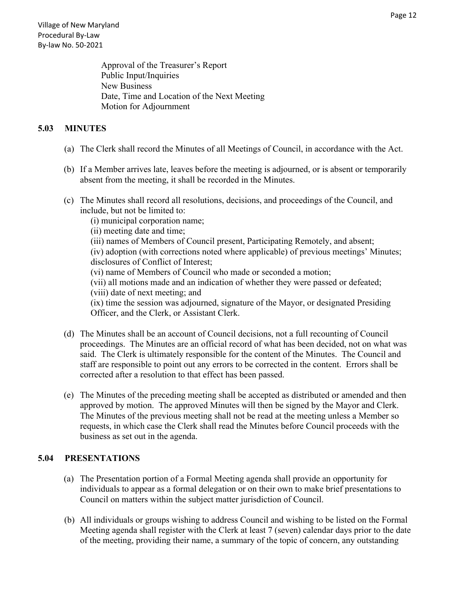Approval of the Treasurer's Report Public Input/Inquiries New Business Date, Time and Location of the Next Meeting Motion for Adjournment

#### **5.03 MINUTES**

- (a) The Clerk shall record the Minutes of all Meetings of Council, in accordance with the Act.
- (b) If a Member arrives late, leaves before the meeting is adjourned, or is absent or temporarily absent from the meeting, it shall be recorded in the Minutes.
- (c) The Minutes shall record all resolutions, decisions, and proceedings of the Council, and include, but not be limited to:
	- (i) municipal corporation name;
	- (ii) meeting date and time;
	- (iii) names of Members of Council present, Participating Remotely, and absent;

(iv) adoption (with corrections noted where applicable) of previous meetings' Minutes; disclosures of Conflict of Interest;

- (vi) name of Members of Council who made or seconded a motion;
- (vii) all motions made and an indication of whether they were passed or defeated; (viii) date of next meeting; and

(ix) time the session was adjourned, signature of the Mayor, or designated Presiding Officer, and the Clerk, or Assistant Clerk.

- (d) The Minutes shall be an account of Council decisions, not a full recounting of Council proceedings. The Minutes are an official record of what has been decided, not on what was said. The Clerk is ultimately responsible for the content of the Minutes. The Council and staff are responsible to point out any errors to be corrected in the content. Errors shall be corrected after a resolution to that effect has been passed.
- (e) The Minutes of the preceding meeting shall be accepted as distributed or amended and then approved by motion. The approved Minutes will then be signed by the Mayor and Clerk. The Minutes of the previous meeting shall not be read at the meeting unless a Member so requests, in which case the Clerk shall read the Minutes before Council proceeds with the business as set out in the agenda.

#### **5.04 PRESENTATIONS**

- (a) The Presentation portion of a Formal Meeting agenda shall provide an opportunity for individuals to appear as a formal delegation or on their own to make brief presentations to Council on matters within the subject matter jurisdiction of Council.
- (b) All individuals or groups wishing to address Council and wishing to be listed on the Formal Meeting agenda shall register with the Clerk at least 7 (seven) calendar days prior to the date of the meeting, providing their name, a summary of the topic of concern, any outstanding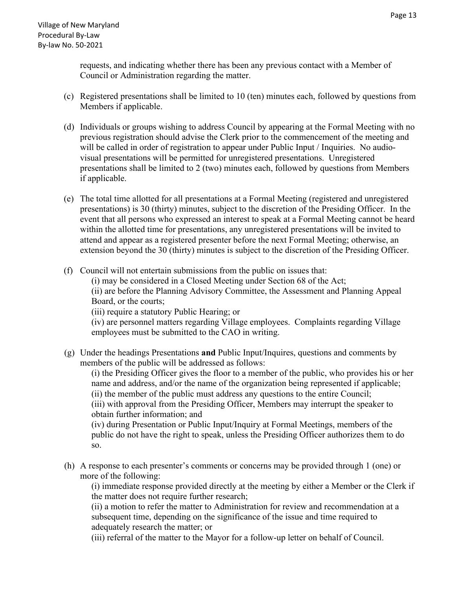requests, and indicating whether there has been any previous contact with a Member of Council or Administration regarding the matter.

- (c) Registered presentations shall be limited to 10 (ten) minutes each, followed by questions from Members if applicable.
- (d) Individuals or groups wishing to address Council by appearing at the Formal Meeting with no previous registration should advise the Clerk prior to the commencement of the meeting and will be called in order of registration to appear under Public Input / Inquiries. No audiovisual presentations will be permitted for unregistered presentations. Unregistered presentations shall be limited to 2 (two) minutes each, followed by questions from Members if applicable.
- (e) The total time allotted for all presentations at a Formal Meeting (registered and unregistered presentations) is 30 (thirty) minutes, subject to the discretion of the Presiding Officer. In the event that all persons who expressed an interest to speak at a Formal Meeting cannot be heard within the allotted time for presentations, any unregistered presentations will be invited to attend and appear as a registered presenter before the next Formal Meeting; otherwise, an extension beyond the 30 (thirty) minutes is subject to the discretion of the Presiding Officer.
- (f) Council will not entertain submissions from the public on issues that:

(i) may be considered in a Closed Meeting under Section 68 of the Act; (ii) are before the Planning Advisory Committee, the Assessment and Planning Appeal

Board, or the courts;

(iii) require a statutory Public Hearing; or

(iv) are personnel matters regarding Village employees. Complaints regarding Village employees must be submitted to the CAO in writing.

(g) Under the headings Presentations **and** Public Input/Inquires, questions and comments by members of the public will be addressed as follows:

(i) the Presiding Officer gives the floor to a member of the public, who provides his or her name and address, and/or the name of the organization being represented if applicable; (ii) the member of the public must address any questions to the entire Council;

(iii) with approval from the Presiding Officer, Members may interrupt the speaker to obtain further information; and

(iv) during Presentation or Public Input/Inquiry at Formal Meetings, members of the public do not have the right to speak, unless the Presiding Officer authorizes them to do so.

(h) A response to each presenter's comments or concerns may be provided through 1 (one) or more of the following:

(i) immediate response provided directly at the meeting by either a Member or the Clerk if the matter does not require further research;

(ii) a motion to refer the matter to Administration for review and recommendation at a subsequent time, depending on the significance of the issue and time required to adequately research the matter; or

(iii) referral of the matter to the Mayor for a follow-up letter on behalf of Council.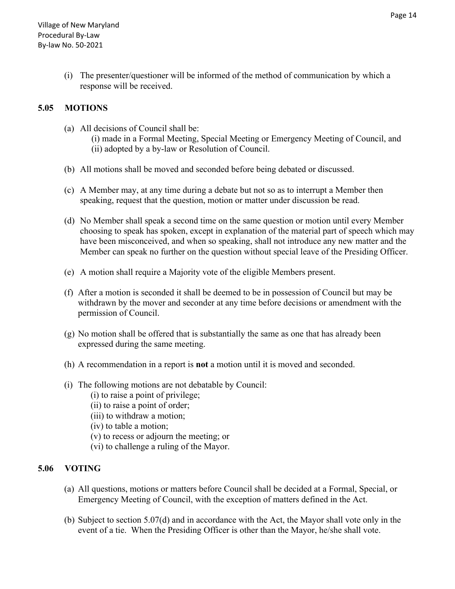(i) The presenter/questioner will be informed of the method of communication by which a response will be received.

#### **5.05 MOTIONS**

- (a) All decisions of Council shall be:
	- (i) made in a Formal Meeting, Special Meeting or Emergency Meeting of Council, and (ii) adopted by a by-law or Resolution of Council.
- (b) All motions shall be moved and seconded before being debated or discussed.
- (c) A Member may, at any time during a debate but not so as to interrupt a Member then speaking, request that the question, motion or matter under discussion be read.
- (d) No Member shall speak a second time on the same question or motion until every Member choosing to speak has spoken, except in explanation of the material part of speech which may have been misconceived, and when so speaking, shall not introduce any new matter and the Member can speak no further on the question without special leave of the Presiding Officer.
- (e) A motion shall require a Majority vote of the eligible Members present.
- (f) After a motion is seconded it shall be deemed to be in possession of Council but may be withdrawn by the mover and seconder at any time before decisions or amendment with the permission of Council.
- (g) No motion shall be offered that is substantially the same as one that has already been expressed during the same meeting.
- (h) A recommendation in a report is **not** a motion until it is moved and seconded.
- (i) The following motions are not debatable by Council:
	- (i) to raise a point of privilege;
	- (ii) to raise a point of order;
	- (iii) to withdraw a motion;
	- (iv) to table a motion;
	- (v) to recess or adjourn the meeting; or
	- (vi) to challenge a ruling of the Mayor.

# **5.06 VOTING**

- (a) All questions, motions or matters before Council shall be decided at a Formal, Special, or Emergency Meeting of Council, with the exception of matters defined in the Act.
- (b) Subject to section 5.07(d) and in accordance with the Act, the Mayor shall vote only in the event of a tie. When the Presiding Officer is other than the Mayor, he/she shall vote.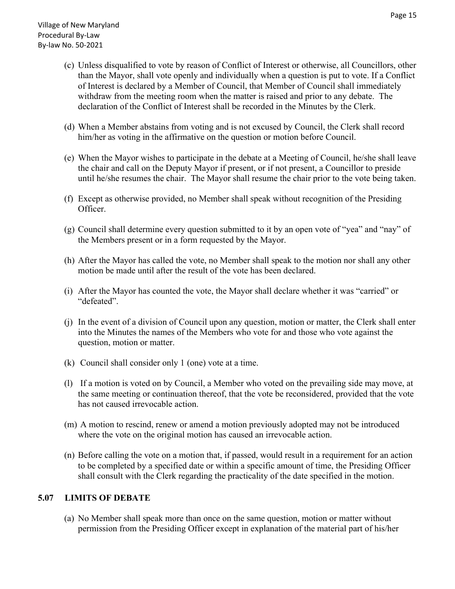- (c) Unless disqualified to vote by reason of Conflict of Interest or otherwise, all Councillors, other than the Mayor, shall vote openly and individually when a question is put to vote. If a Conflict of Interest is declared by a Member of Council, that Member of Council shall immediately withdraw from the meeting room when the matter is raised and prior to any debate. The declaration of the Conflict of Interest shall be recorded in the Minutes by the Clerk.
- (d) When a Member abstains from voting and is not excused by Council, the Clerk shall record him/her as voting in the affirmative on the question or motion before Council.
- (e) When the Mayor wishes to participate in the debate at a Meeting of Council, he/she shall leave the chair and call on the Deputy Mayor if present, or if not present, a Councillor to preside until he/she resumes the chair. The Mayor shall resume the chair prior to the vote being taken.
- (f) Except as otherwise provided, no Member shall speak without recognition of the Presiding Officer.
- (g) Council shall determine every question submitted to it by an open vote of "yea" and "nay" of the Members present or in a form requested by the Mayor.
- (h) After the Mayor has called the vote, no Member shall speak to the motion nor shall any other motion be made until after the result of the vote has been declared.
- (i) After the Mayor has counted the vote, the Mayor shall declare whether it was "carried" or "defeated".
- (j) In the event of a division of Council upon any question, motion or matter, the Clerk shall enter into the Minutes the names of the Members who vote for and those who vote against the question, motion or matter.
- (k) Council shall consider only 1 (one) vote at a time.
- (l) If a motion is voted on by Council, a Member who voted on the prevailing side may move, at the same meeting or continuation thereof, that the vote be reconsidered, provided that the vote has not caused irrevocable action.
- (m) A motion to rescind, renew or amend a motion previously adopted may not be introduced where the vote on the original motion has caused an irrevocable action.
- (n) Before calling the vote on a motion that, if passed, would result in a requirement for an action to be completed by a specified date or within a specific amount of time, the Presiding Officer shall consult with the Clerk regarding the practicality of the date specified in the motion.

#### **5.07 LIMITS OF DEBATE**

(a) No Member shall speak more than once on the same question, motion or matter without permission from the Presiding Officer except in explanation of the material part of his/her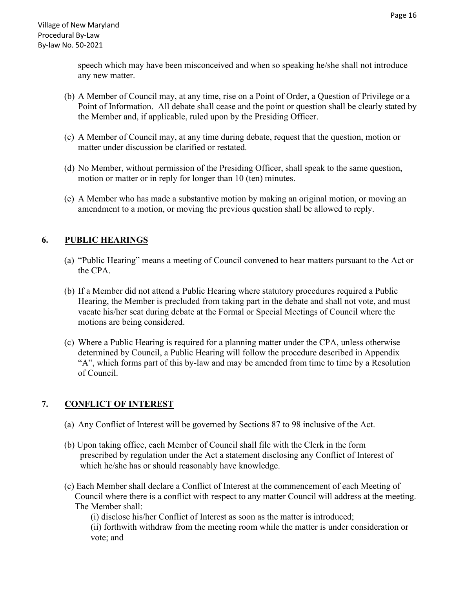speech which may have been misconceived and when so speaking he/she shall not introduce any new matter.

- (b) A Member of Council may, at any time, rise on a Point of Order, a Question of Privilege or a Point of Information. All debate shall cease and the point or question shall be clearly stated by the Member and, if applicable, ruled upon by the Presiding Officer.
- (c) A Member of Council may, at any time during debate, request that the question, motion or matter under discussion be clarified or restated.
- (d) No Member, without permission of the Presiding Officer, shall speak to the same question, motion or matter or in reply for longer than 10 (ten) minutes.
- (e) A Member who has made a substantive motion by making an original motion, or moving an amendment to a motion, or moving the previous question shall be allowed to reply.

# **6. PUBLIC HEARINGS**

- (a) "Public Hearing" means a meeting of Council convened to hear matters pursuant to the Act or the CPA.
- (b) If a Member did not attend a Public Hearing where statutory procedures required a Public Hearing, the Member is precluded from taking part in the debate and shall not vote, and must vacate his/her seat during debate at the Formal or Special Meetings of Council where the motions are being considered.
- (c) Where a Public Hearing is required for a planning matter under the CPA, unless otherwise determined by Council, a Public Hearing will follow the procedure described in Appendix "A", which forms part of this by-law and may be amended from time to time by a Resolution of Council.

# **7. CONFLICT OF INTEREST**

- (a) Any Conflict of Interest will be governed by Sections 87 to 98 inclusive of the Act.
- (b) Upon taking office, each Member of Council shall file with the Clerk in the form prescribed by regulation under the Act a statement disclosing any Conflict of Interest of which he/she has or should reasonably have knowledge.
- (c) Each Member shall declare a Conflict of Interest at the commencement of each Meeting of Council where there is a conflict with respect to any matter Council will address at the meeting. The Member shall:

(i) disclose his/her Conflict of Interest as soon as the matter is introduced; (ii) forthwith withdraw from the meeting room while the matter is under consideration or vote; and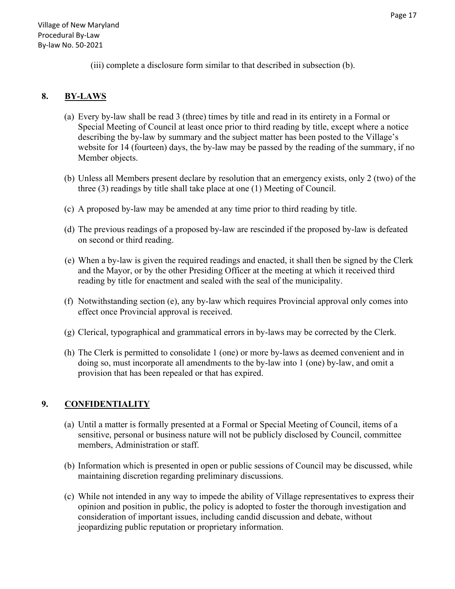(iii) complete a disclosure form similar to that described in subsection (b).

# **8. BY-LAWS**

- (a) Every by-law shall be read 3 (three) times by title and read in its entirety in a Formal or Special Meeting of Council at least once prior to third reading by title, except where a notice describing the by-law by summary and the subject matter has been posted to the Village's website for 14 (fourteen) days, the by-law may be passed by the reading of the summary, if no Member objects.
- (b) Unless all Members present declare by resolution that an emergency exists, only 2 (two) of the three (3) readings by title shall take place at one (1) Meeting of Council.
- (c) A proposed by-law may be amended at any time prior to third reading by title.
- (d) The previous readings of a proposed by-law are rescinded if the proposed by-law is defeated on second or third reading.
- (e) When a by-law is given the required readings and enacted, it shall then be signed by the Clerk and the Mayor, or by the other Presiding Officer at the meeting at which it received third reading by title for enactment and sealed with the seal of the municipality.
- (f) Notwithstanding section (e), any by-law which requires Provincial approval only comes into effect once Provincial approval is received.
- (g) Clerical, typographical and grammatical errors in by-laws may be corrected by the Clerk.
- (h) The Clerk is permitted to consolidate 1 (one) or more by-laws as deemed convenient and in doing so, must incorporate all amendments to the by-law into 1 (one) by-law, and omit a provision that has been repealed or that has expired.

# **9. CONFIDENTIALITY**

- (a) Until a matter is formally presented at a Formal or Special Meeting of Council, items of a sensitive, personal or business nature will not be publicly disclosed by Council, committee members, Administration or staff.
- (b) Information which is presented in open or public sessions of Council may be discussed, while maintaining discretion regarding preliminary discussions.
- (c) While not intended in any way to impede the ability of Village representatives to express their opinion and position in public, the policy is adopted to foster the thorough investigation and consideration of important issues, including candid discussion and debate, without jeopardizing public reputation or proprietary information.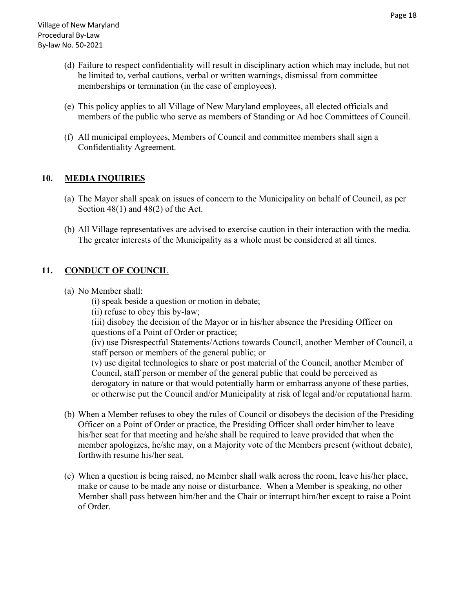- (d) Failure to respect confidentiality will result in disciplinary action which may include, but not be limited to, verbal cautions, verbal or written warnings, dismissal from committee memberships or termination (in the case of employees).
- (e) This policy applies to all Village of New Maryland employees, all elected officials and members of the public who serve as members of Standing or Ad hoc Committees of Council.
- (f) All municipal employees, Members of Council and committee members shall sign a Confidentiality Agreement.

# **10. MEDIA INQUIRIES**

- (a) The Mayor shall speak on issues of concern to the Municipality on behalf of Council, as per Section 48(1) and 48(2) of the Act.
- (b) All Village representatives are advised to exercise caution in their interaction with the media. The greater interests of the Municipality as a whole must be considered at all times.

#### **11. CONDUCT OF COUNCIL**

- (a) No Member shall:
	- (i) speak beside a question or motion in debate;
	- (ii) refuse to obey this by-law;

(iii) disobey the decision of the Mayor or in his/her absence the Presiding Officer on questions of a Point of Order or practice;

(iv) use Disrespectful Statements/Actions towards Council, another Member of Council, a staff person or members of the general public; or

(v) use digital technologies to share or post material of the Council, another Member of Council, staff person or member of the general public that could be perceived as derogatory in nature or that would potentially harm or embarrass anyone of these parties, or otherwise put the Council and/or Municipality at risk of legal and/or reputational harm.

- (b) When a Member refuses to obey the rules of Council or disobeys the decision of the Presiding Officer on a Point of Order or practice, the Presiding Officer shall order him/her to leave his/her seat for that meeting and he/she shall be required to leave provided that when the member apologizes, he/she may, on a Majority vote of the Members present (without debate), forthwith resume his/her seat.
- (c) When a question is being raised, no Member shall walk across the room, leave his/her place, make or cause to be made any noise or disturbance. When a Member is speaking, no other Member shall pass between him/her and the Chair or interrupt him/her except to raise a Point of Order.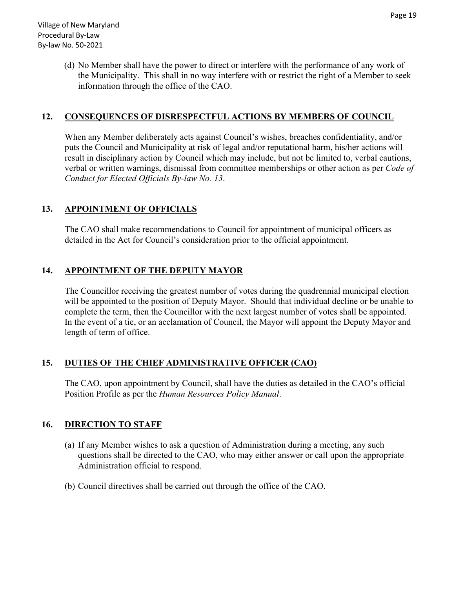(d) No Member shall have the power to direct or interfere with the performance of any work of the Municipality. This shall in no way interfere with or restrict the right of a Member to seek information through the office of the CAO.

#### **12. CONSEQUENCES OF DISRESPECTFUL ACTIONS BY MEMBERS OF COUNCIL**

When any Member deliberately acts against Council's wishes, breaches confidentiality, and/or puts the Council and Municipality at risk of legal and/or reputational harm, his/her actions will result in disciplinary action by Council which may include, but not be limited to, verbal cautions, verbal or written warnings, dismissal from committee memberships or other action as per *Code of Conduct for Elected Officials By-law No. 13*.

#### **13. APPOINTMENT OF OFFICIALS**

The CAO shall make recommendations to Council for appointment of municipal officers as detailed in the Act for Council's consideration prior to the official appointment.

#### **14. APPOINTMENT OF THE DEPUTY MAYOR**

The Councillor receiving the greatest number of votes during the quadrennial municipal election will be appointed to the position of Deputy Mayor. Should that individual decline or be unable to complete the term, then the Councillor with the next largest number of votes shall be appointed. In the event of a tie, or an acclamation of Council, the Mayor will appoint the Deputy Mayor and length of term of office.

# **15. DUTIES OF THE CHIEF ADMINISTRATIVE OFFICER (CAO)**

The CAO, upon appointment by Council, shall have the duties as detailed in the CAO's official Position Profile as per the *Human Resources Policy Manual*.

#### **16. DIRECTION TO STAFF**

- (a) If any Member wishes to ask a question of Administration during a meeting, any such questions shall be directed to the CAO, who may either answer or call upon the appropriate Administration official to respond.
- (b) Council directives shall be carried out through the office of the CAO.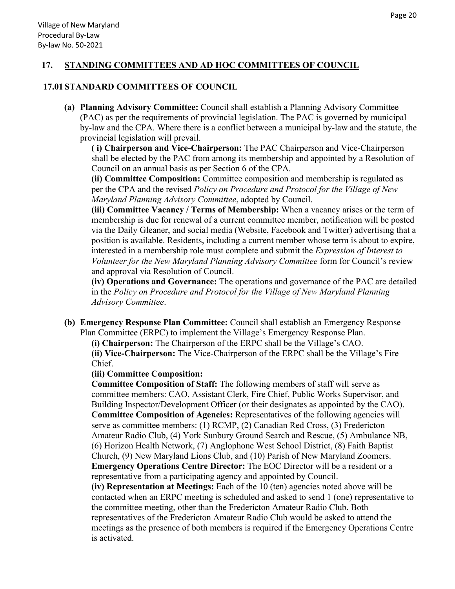#### **17. STANDING COMMITTEES AND AD HOC COMMITTEES OF COUNCIL**

#### **17.01 STANDARD COMMITTEES OF COUNCIL**

**(a) Planning Advisory Committee:** Council shall establish a Planning Advisory Committee (PAC) as per the requirements of provincial legislation. The PAC is governed by municipal by-law and the CPA. Where there is a conflict between a municipal by-law and the statute, the provincial legislation will prevail.

**( i) Chairperson and Vice-Chairperson:** The PAC Chairperson and Vice-Chairperson shall be elected by the PAC from among its membership and appointed by a Resolution of Council on an annual basis as per Section 6 of the CPA.

**(ii) Committee Composition:** Committee composition and membership is regulated as per the CPA and the revised *Policy on Procedure and Protocol for the Village of New Maryland Planning Advisory Committee*, adopted by Council.

**(iii) Committee Vacancy / Terms of Membership:** When a vacancy arises or the term of membership is due for renewal of a current committee member, notification will be posted via the Daily Gleaner, and social media (Website, Facebook and Twitter) advertising that a position is available. Residents, including a current member whose term is about to expire, interested in a membership role must complete and submit the *Expression of Interest to Volunteer for the New Maryland Planning Advisory Committee* form for Council's review and approval via Resolution of Council.

**(iv) Operations and Governance:** The operations and governance of the PAC are detailed in the *Policy on Procedure and Protocol for the Village of New Maryland Planning Advisory Committee*.

**(b) Emergency Response Plan Committee:** Council shall establish an Emergency Response Plan Committee (ERPC) to implement the Village's Emergency Response Plan.

**(i) Chairperson:** The Chairperson of the ERPC shall be the Village's CAO.

**(ii) Vice-Chairperson:** The Vice-Chairperson of the ERPC shall be the Village's Fire Chief.

#### **(iii) Committee Composition:**

**Committee Composition of Staff:** The following members of staff will serve as committee members: CAO, Assistant Clerk, Fire Chief, Public Works Supervisor, and Building Inspector/Development Officer (or their designates as appointed by the CAO). **Committee Composition of Agencies:** Representatives of the following agencies will serve as committee members: (1) RCMP, (2) Canadian Red Cross, (3) Fredericton Amateur Radio Club, (4) York Sunbury Ground Search and Rescue, (5) Ambulance NB, (6) Horizon Health Network, (7) Anglophone West School District, (8) Faith Baptist Church, (9) New Maryland Lions Club, and (10) Parish of New Maryland Zoomers. **Emergency Operations Centre Director:** The EOC Director will be a resident or a representative from a participating agency and appointed by Council.

**(iv) Representation at Meetings:** Each of the 10 (ten) agencies noted above will be contacted when an ERPC meeting is scheduled and asked to send 1 (one) representative to the committee meeting, other than the Fredericton Amateur Radio Club. Both representatives of the Fredericton Amateur Radio Club would be asked to attend the meetings as the presence of both members is required if the Emergency Operations Centre is activated.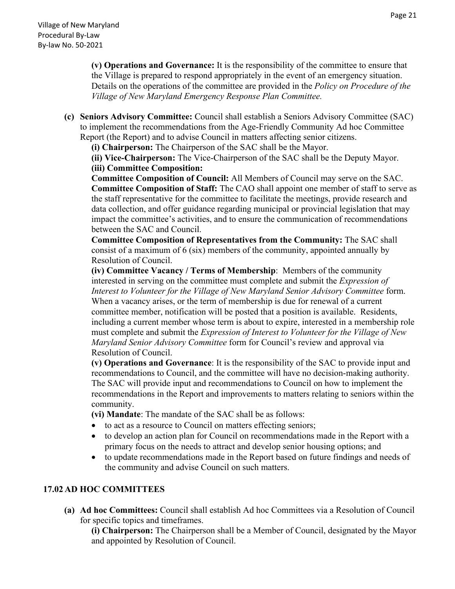**(v) Operations and Governance:** It is the responsibility of the committee to ensure that the Village is prepared to respond appropriately in the event of an emergency situation. Details on the operations of the committee are provided in the *Policy on Procedure of the Village of New Maryland Emergency Response Plan Committee.* 

**(c) Seniors Advisory Committee:** Council shall establish a Seniors Advisory Committee (SAC) to implement the recommendations from the Age-Friendly Community Ad hoc Committee Report (the Report) and to advise Council in matters affecting senior citizens.

**(i) Chairperson:** The Chairperson of the SAC shall be the Mayor.

**(ii) Vice-Chairperson:** The Vice-Chairperson of the SAC shall be the Deputy Mayor.  **(iii) Committee Composition:** 

**Committee Composition of Council:** All Members of Council may serve on the SAC. **Committee Composition of Staff:** The CAO shall appoint one member of staff to serve as the staff representative for the committee to facilitate the meetings, provide research and data collection, and offer guidance regarding municipal or provincial legislation that may impact the committee's activities, and to ensure the communication of recommendations between the SAC and Council.

**Committee Composition of Representatives from the Community:** The SAC shall consist of a maximum of 6 (six) members of the community, appointed annually by Resolution of Council.

**(iv) Committee Vacancy / Terms of Membership**: Members of the community interested in serving on the committee must complete and submit the *Expression of Interest to Volunteer for the Village of New Maryland Senior Advisory Committee* form. When a vacancy arises, or the term of membership is due for renewal of a current committee member, notification will be posted that a position is available. Residents, including a current member whose term is about to expire, interested in a membership role must complete and submit the *Expression of Interest to Volunteer for the Village of New Maryland Senior Advisory Committee* form for Council's review and approval via Resolution of Council.

**(v) Operations and Governance**: It is the responsibility of the SAC to provide input and recommendations to Council, and the committee will have no decision-making authority. The SAC will provide input and recommendations to Council on how to implement the recommendations in the Report and improvements to matters relating to seniors within the community.

**(vi) Mandate**: The mandate of the SAC shall be as follows:

- to act as a resource to Council on matters effecting seniors;
- to develop an action plan for Council on recommendations made in the Report with a primary focus on the needs to attract and develop senior housing options; and
- to update recommendations made in the Report based on future findings and needs of the community and advise Council on such matters.

#### **17.02 AD HOC COMMITTEES**

**(a) Ad hoc Committees:** Council shall establish Ad hoc Committees via a Resolution of Council for specific topics and timeframes.

**(i) Chairperson:** The Chairperson shall be a Member of Council, designated by the Mayor and appointed by Resolution of Council.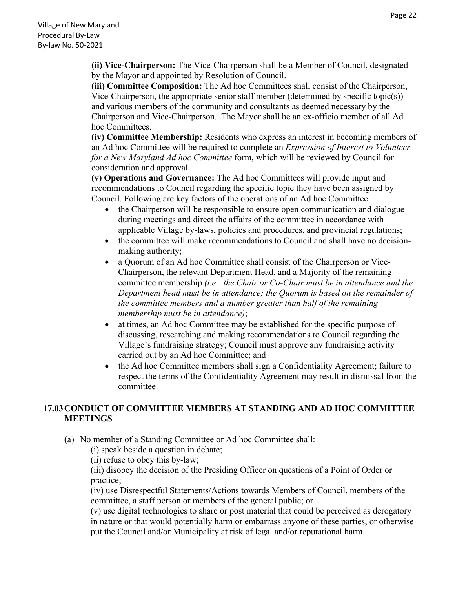**(ii) Vice-Chairperson:** The Vice-Chairperson shall be a Member of Council, designated by the Mayor and appointed by Resolution of Council.

**(iii) Committee Composition:** The Ad hoc Committees shall consist of the Chairperson, Vice-Chairperson, the appropriate senior staff member (determined by specific topic(s)) and various members of the community and consultants as deemed necessary by the Chairperson and Vice-Chairperson. The Mayor shall be an ex-officio member of all Ad hoc Committees.

**(iv) Committee Membership:** Residents who express an interest in becoming members of an Ad hoc Committee will be required to complete an *Expression of Interest to Volunteer for a New Maryland Ad hoc Committee* form, which will be reviewed by Council for consideration and approval.

**(v) Operations and Governance:** The Ad hoc Committees will provide input and recommendations to Council regarding the specific topic they have been assigned by Council. Following are key factors of the operations of an Ad hoc Committee:

- the Chairperson will be responsible to ensure open communication and dialogue during meetings and direct the affairs of the committee in accordance with applicable Village by-laws, policies and procedures, and provincial regulations;
- the committee will make recommendations to Council and shall have no decisionmaking authority;
- a Quorum of an Ad hoc Committee shall consist of the Chairperson or Vice-Chairperson, the relevant Department Head, and a Majority of the remaining committee membership *(i.e.: the Chair or Co-Chair must be in attendance and the Department head must be in attendance; the Quorum is based on the remainder of the committee members and a number greater than half of the remaining membership must be in attendance)*;
- at times, an Ad hoc Committee may be established for the specific purpose of discussing, researching and making recommendations to Council regarding the Village's fundraising strategy; Council must approve any fundraising activity carried out by an Ad hoc Committee; and
- the Ad hoc Committee members shall sign a Confidentiality Agreement; failure to respect the terms of the Confidentiality Agreement may result in dismissal from the committee.

# **17.03 CONDUCT OF COMMITTEE MEMBERS AT STANDING AND AD HOC COMMITTEE MEETINGS**

(a) No member of a Standing Committee or Ad hoc Committee shall:

(i) speak beside a question in debate;

(ii) refuse to obey this by-law;

(iii) disobey the decision of the Presiding Officer on questions of a Point of Order or practice;

(iv) use Disrespectful Statements/Actions towards Members of Council, members of the committee, a staff person or members of the general public; or

(v) use digital technologies to share or post material that could be perceived as derogatory in nature or that would potentially harm or embarrass anyone of these parties, or otherwise put the Council and/or Municipality at risk of legal and/or reputational harm.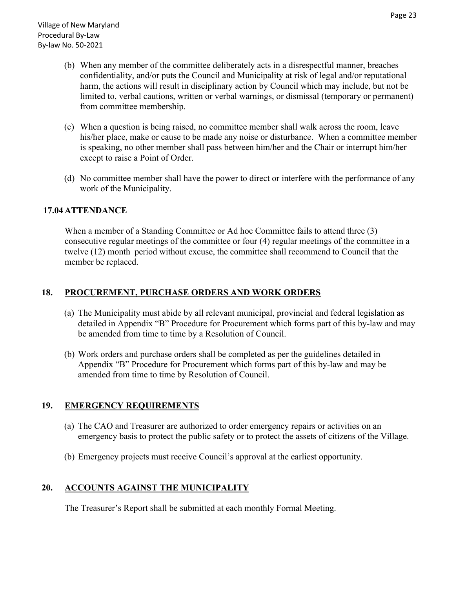- (b) When any member of the committee deliberately acts in a disrespectful manner, breaches confidentiality, and/or puts the Council and Municipality at risk of legal and/or reputational harm, the actions will result in disciplinary action by Council which may include, but not be limited to, verbal cautions, written or verbal warnings, or dismissal (temporary or permanent) from committee membership.
- (c) When a question is being raised, no committee member shall walk across the room, leave his/her place, make or cause to be made any noise or disturbance. When a committee member is speaking, no other member shall pass between him/her and the Chair or interrupt him/her except to raise a Point of Order.
- (d) No committee member shall have the power to direct or interfere with the performance of any work of the Municipality.

#### **17.04 ATTENDANCE**

When a member of a Standing Committee or Ad hoc Committee fails to attend three (3) consecutive regular meetings of the committee or four (4) regular meetings of the committee in a twelve (12) month period without excuse, the committee shall recommend to Council that the member be replaced.

#### **18. PROCUREMENT, PURCHASE ORDERS AND WORK ORDERS**

- (a) The Municipality must abide by all relevant municipal, provincial and federal legislation as detailed in Appendix "B" Procedure for Procurement which forms part of this by-law and may be amended from time to time by a Resolution of Council.
- (b) Work orders and purchase orders shall be completed as per the guidelines detailed in Appendix "B" Procedure for Procurement which forms part of this by-law and may be amended from time to time by Resolution of Council.

#### **19. EMERGENCY REQUIREMENTS**

- (a) The CAO and Treasurer are authorized to order emergency repairs or activities on an emergency basis to protect the public safety or to protect the assets of citizens of the Village.
- (b) Emergency projects must receive Council's approval at the earliest opportunity.

#### **20. ACCOUNTS AGAINST THE MUNICIPALITY**

The Treasurer's Report shall be submitted at each monthly Formal Meeting.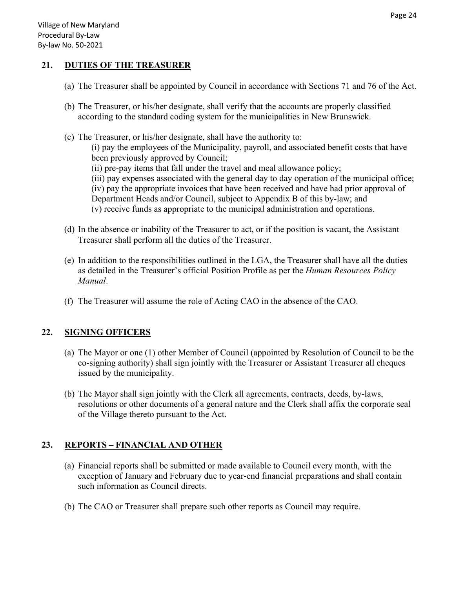#### **21. DUTIES OF THE TREASURER**

- (a) The Treasurer shall be appointed by Council in accordance with Sections 71 and 76 of the Act.
- (b) The Treasurer, or his/her designate, shall verify that the accounts are properly classified according to the standard coding system for the municipalities in New Brunswick.
- (c) The Treasurer, or his/her designate, shall have the authority to: (i) pay the employees of the Municipality, payroll, and associated benefit costs that have been previously approved by Council; (ii) pre-pay items that fall under the travel and meal allowance policy; (iii) pay expenses associated with the general day to day operation of the municipal office; (iv) pay the appropriate invoices that have been received and have had prior approval of Department Heads and/or Council, subject to Appendix B of this by-law; and (v) receive funds as appropriate to the municipal administration and operations.
- (d) In the absence or inability of the Treasurer to act, or if the position is vacant, the Assistant Treasurer shall perform all the duties of the Treasurer.
- (e) In addition to the responsibilities outlined in the LGA, the Treasurer shall have all the duties as detailed in the Treasurer's official Position Profile as per the *Human Resources Policy Manual*.
- (f) The Treasurer will assume the role of Acting CAO in the absence of the CAO.

# **22. SIGNING OFFICERS**

- (a) The Mayor or one (1) other Member of Council (appointed by Resolution of Council to be the co-signing authority) shall sign jointly with the Treasurer or Assistant Treasurer all cheques issued by the municipality.
- (b) The Mayor shall sign jointly with the Clerk all agreements, contracts, deeds, by-laws, resolutions or other documents of a general nature and the Clerk shall affix the corporate seal of the Village thereto pursuant to the Act.

# **23. REPORTS – FINANCIAL AND OTHER**

- (a) Financial reports shall be submitted or made available to Council every month, with the exception of January and February due to year-end financial preparations and shall contain such information as Council directs.
- (b) The CAO or Treasurer shall prepare such other reports as Council may require.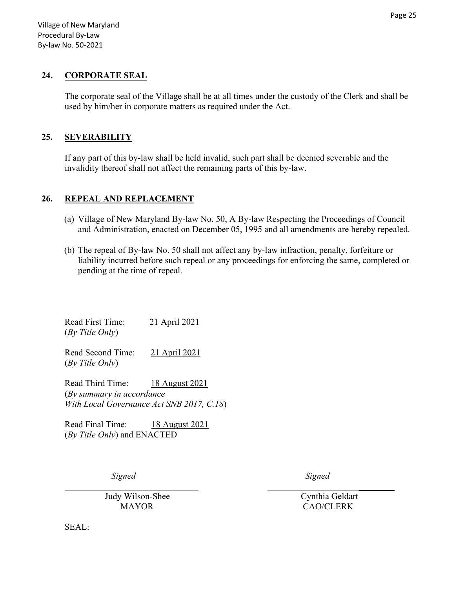#### **24. CORPORATE SEAL**

The corporate seal of the Village shall be at all times under the custody of the Clerk and shall be used by him/her in corporate matters as required under the Act.

#### **25. SEVERABILITY**

If any part of this by-law shall be held invalid, such part shall be deemed severable and the invalidity thereof shall not affect the remaining parts of this by-law.

#### **26. REPEAL AND REPLACEMENT**

- (a) Village of New Maryland By-law No. 50, A By-law Respecting the Proceedings of Council and Administration, enacted on December 05, 1995 and all amendments are hereby repealed.
- (b) The repeal of By-law No. 50 shall not affect any by-law infraction, penalty, forfeiture or liability incurred before such repeal or any proceedings for enforcing the same, completed or pending at the time of repeal.

 $\mathcal{L}_\text{max}$  , and the contract of the contract of the contract of the contract of the contract of the contract of

Read First Time: 21 April 2021 (*By Title Only*)

Read Second Time: 21 April 2021 (*By Title Only*)

Read Third Time: 18 August 2021 (*By summary in accordance With Local Governance Act SNB 2017, C.18*)

Read Final Time: 18 August 2021 (*By Title Only*) and ENACTED

*Signed Signed* 

Judy Wilson-Shee Cynthia Geldart

MAYOR CAO/CLERK

SEAL: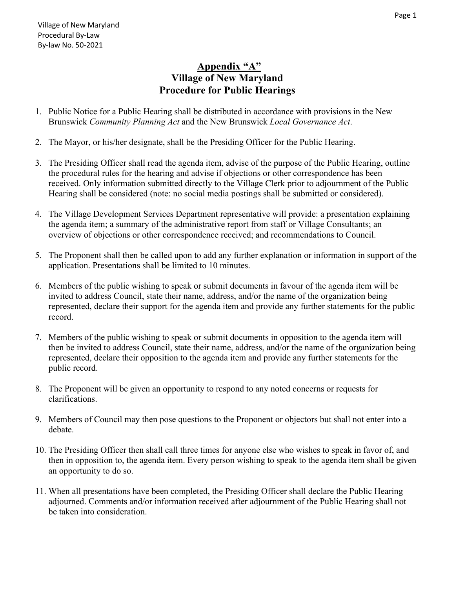# **Appendix "A" Village of New Maryland Procedure for Public Hearings**

- 1. Public Notice for a Public Hearing shall be distributed in accordance with provisions in the New Brunswick *Community Planning Act* and the New Brunswick *Local Governance Act*.
- 2. The Mayor, or his/her designate, shall be the Presiding Officer for the Public Hearing.
- 3. The Presiding Officer shall read the agenda item, advise of the purpose of the Public Hearing, outline the procedural rules for the hearing and advise if objections or other correspondence has been received. Only information submitted directly to the Village Clerk prior to adjournment of the Public Hearing shall be considered (note: no social media postings shall be submitted or considered).
- 4. The Village Development Services Department representative will provide: a presentation explaining the agenda item; a summary of the administrative report from staff or Village Consultants; an overview of objections or other correspondence received; and recommendations to Council.
- 5. The Proponent shall then be called upon to add any further explanation or information in support of the application. Presentations shall be limited to 10 minutes.
- 6. Members of the public wishing to speak or submit documents in favour of the agenda item will be invited to address Council, state their name, address, and/or the name of the organization being represented, declare their support for the agenda item and provide any further statements for the public record.
- 7. Members of the public wishing to speak or submit documents in opposition to the agenda item will then be invited to address Council, state their name, address, and/or the name of the organization being represented, declare their opposition to the agenda item and provide any further statements for the public record.
- 8. The Proponent will be given an opportunity to respond to any noted concerns or requests for clarifications.
- 9. Members of Council may then pose questions to the Proponent or objectors but shall not enter into a debate.
- 10. The Presiding Officer then shall call three times for anyone else who wishes to speak in favor of, and then in opposition to, the agenda item. Every person wishing to speak to the agenda item shall be given an opportunity to do so.
- 11. When all presentations have been completed, the Presiding Officer shall declare the Public Hearing adjourned. Comments and/or information received after adjournment of the Public Hearing shall not be taken into consideration.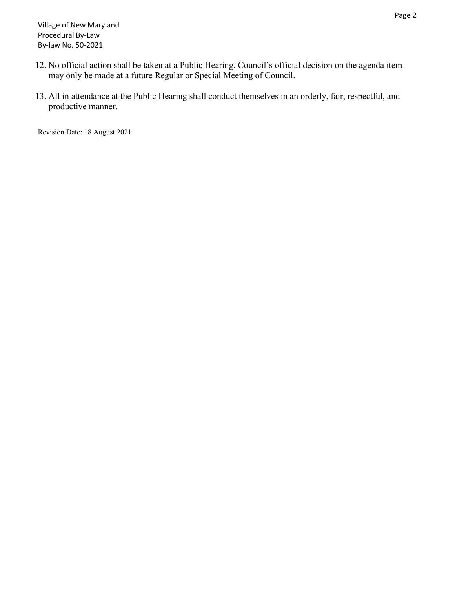- 12. No official action shall be taken at a Public Hearing. Council's official decision on the agenda item may only be made at a future Regular or Special Meeting of Council.
- 13. All in attendance at the Public Hearing shall conduct themselves in an orderly, fair, respectful, and productive manner.

Revision Date: 18 August 2021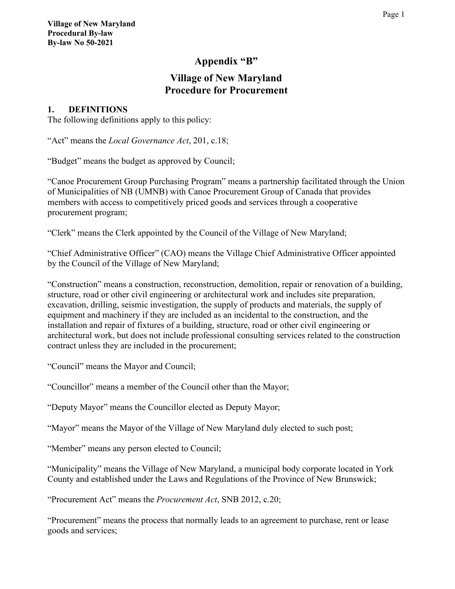# **Appendix "B"**

# **Village of New Maryland Procedure for Procurement**

# **1. DEFINITIONS**

The following definitions apply to this policy:

"Act" means the *Local Governance Act*, 201, c.18;

"Budget" means the budget as approved by Council;

"Canoe Procurement Group Purchasing Program" means a partnership facilitated through the Union of Municipalities of NB (UMNB) with Canoe Procurement Group of Canada that provides members with access to competitively priced goods and services through a cooperative procurement program;

"Clerk" means the Clerk appointed by the Council of the Village of New Maryland;

"Chief Administrative Officer" (CAO) means the Village Chief Administrative Officer appointed by the Council of the Village of New Maryland;

"Construction" means a construction, reconstruction, demolition, repair or renovation of a building, structure, road or other civil engineering or architectural work and includes site preparation, excavation, drilling, seismic investigation, the supply of products and materials, the supply of equipment and machinery if they are included as an incidental to the construction, and the installation and repair of fixtures of a building, structure, road or other civil engineering or architectural work, but does not include professional consulting services related to the construction contract unless they are included in the procurement;

"Council" means the Mayor and Council;

"Councillor" means a member of the Council other than the Mayor;

"Deputy Mayor" means the Councillor elected as Deputy Mayor;

"Mayor" means the Mayor of the Village of New Maryland duly elected to such post;

"Member" means any person elected to Council;

"Municipality" means the Village of New Maryland, a municipal body corporate located in York County and established under the Laws and Regulations of the Province of New Brunswick;

"Procurement Act" means the *Procurement Act*, SNB 2012, c.20;

"Procurement" means the process that normally leads to an agreement to purchase, rent or lease goods and services;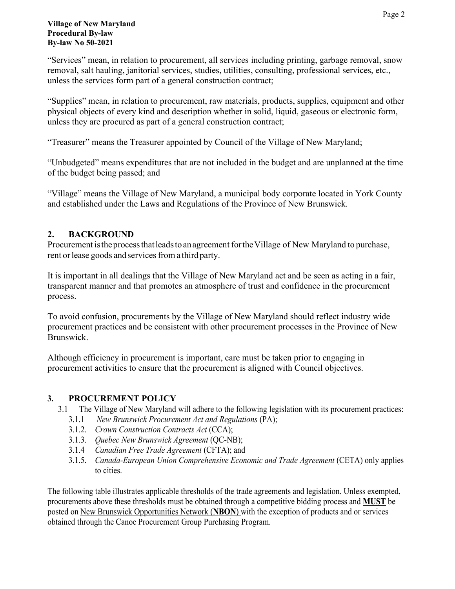"Services" mean, in relation to procurement, all services including printing, garbage removal, snow removal, salt hauling, janitorial services, studies, utilities, consulting, professional services, etc., unless the services form part of a general construction contract;

"Supplies" mean, in relation to procurement, raw materials, products, supplies, equipment and other physical objects of every kind and description whether in solid, liquid, gaseous or electronic form, unless they are procured as part of a general construction contract;

"Treasurer" means the Treasurer appointed by Council of the Village of New Maryland;

"Unbudgeted" means expenditures that are not included in the budget and are unplanned at the time of the budget being passed; and

"Village" means the Village of New Maryland, a municipal body corporate located in York County and established under the Laws and Regulations of the Province of New Brunswick.

# **2. BACKGROUND**

Procurement is the process that leads to an agreement for the Village of New Maryland to purchase, rent or lease goods and services from a third party.

It is important in all dealings that the Village of New Maryland act and be seen as acting in a fair, transparent manner and that promotes an atmosphere of trust and confidence in the procurement process.

To avoid confusion, procurements by the Village of New Maryland should reflect industry wide procurement practices and be consistent with other procurement processes in the Province of New Brunswick.

Although efficiency in procurement is important, care must be taken prior to engaging in procurement activities to ensure that the procurement is aligned with Council objectives.

# **3. PROCUREMENT POLICY**

- 3.1 The Village of New Maryland will adhere to the following legislation with its procurement practices:
	- 3.1.1 *New Brunswick Procurement Act and Regulations* (PA);
	- 3.1.2. *Crown Construction Contracts Act* (CCA);
	- 3.1.3. *Quebec New Brunswick Agreement* (QC-NB);
	- 3.1.4 *Canadian Free Trade Agreement* (CFTA); and
	- 3.1.5. *Canada-European Union Comprehensive Economic and Trade Agreement* (CETA) only applies to cities.

The following table illustrates applicable thresholds of the trade agreements and legislation. Unless exempted, procurements above these thresholds must be obtained through a competitive bidding process and **MUST** be posted on New Brunswick Opportunities Network (**NBON**) with the exception of products and or services obtained through the Canoe Procurement Group Purchasing Program.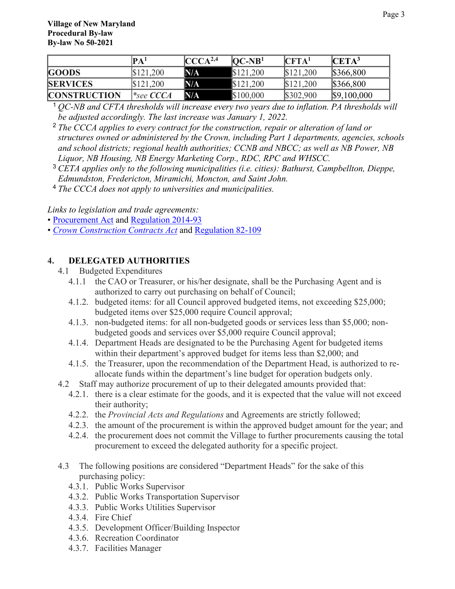|                     | $\mathbf{PA}^1$       | CCCA <sup>2,4</sup> | $[OC-NB1]$ | $\mathbf{CFTA}^1$ | $\mathbf{CETA}^3$ |
|---------------------|-----------------------|---------------------|------------|-------------------|-------------------|
| <b>GOODS</b>        | \$121,200             | N/A                 | \$121,200  | \$121,200         | \$366,800         |
| <b>SERVICES</b>     | \$121,200             | N/A                 | \$121,200  | \$121,200         | \$366,800         |
| <b>CONSTRUCTION</b> | $ *_\text{see CCCA} $ | N/A                 | \$100,000  | \$302,900         | \$9,100,000       |

<sup>1</sup> *QC-NB and CFTA thresholds will increase every two years due to inflation. PA thresholds will be adjusted accordingly. The last increase was January 1, 2022.*

- <sup>2</sup> *The CCCA applies to every contract for the construction, repair or alteration of land or structures owned or administered by the Crown, including Part 1 departments, agencies, schools and school districts; regional health authorities; CCNB and NBCC; as well as NB Power, NB Liquor, NB Housing, NB Energy Marketing Corp., RDC, RPC and WHSCC.*
- <sup>3</sup> *CETA applies only to the following municipalities (i.e. cities): Bathurst, Campbellton, Dieppe, Edmundston, Fredericton, Miramichi, Moncton, and Saint John.*
- <sup>4</sup> *The CCCA does not apply to universities and municipalities.*

*Links to legislation and trade agreements:*

• [Procurement Act](http://laws.gnb.ca/en/showfulldoc/cs/2012-c.20/20200108) and [Regulation 2014-93](http://laws.gnb.ca/en/showfulldoc/cr/2014-93/20190912)

• *[Crown Construction Contracts Act](http://laws.gnb.ca/en/showfulldoc/cs/2014-c.105/20200122)* and [Regulation 82-109](http://laws.gnb.ca/en/showfulldoc/cr/82-109/20200120)

#### **4. DELEGATED AUTHORITIES**

- 4.1 Budgeted Expenditures
	- 4.1.1 the CAO or Treasurer, or his/her designate, shall be the Purchasing Agent and is authorized to carry out purchasing on behalf of Council;
	- 4.1.2. budgeted items: for all Council approved budgeted items, not exceeding \$25,000; budgeted items over \$25,000 require Council approval;
	- 4.1.3. non-budgeted items: for all non-budgeted goods or services less than \$5,000; nonbudgeted goods and services over \$5,000 require Council approval;
	- 4.1.4. Department Heads are designated to be the Purchasing Agent for budgeted items within their department's approved budget for items less than \$2,000; and
	- 4.1.5. the Treasurer, upon the recommendation of the Department Head, is authorized to reallocate funds within the department's line budget for operation budgets only.
- 4.2 Staff may authorize procurement of up to their delegated amounts provided that:
	- 4.2.1. there is a clear estimate for the goods, and it is expected that the value will not exceed their authority;
	- 4.2.2. the *Provincial Acts and Regulations* and Agreements are strictly followed;
	- 4.2.3. the amount of the procurement is within the approved budget amount for the year; and
	- 4.2.4. the procurement does not commit the Village to further procurements causing the total procurement to exceed the delegated authority for a specific project.
- 4.3 The following positions are considered "Department Heads" for the sake of this purchasing policy:
	- 4.3.1. Public Works Supervisor
	- 4.3.2. Public Works Transportation Supervisor
	- 4.3.3. Public Works Utilities Supervisor
	- 4.3.4. Fire Chief
	- 4.3.5. Development Officer/Building Inspector
	- 4.3.6. Recreation Coordinator
	- 4.3.7. Facilities Manager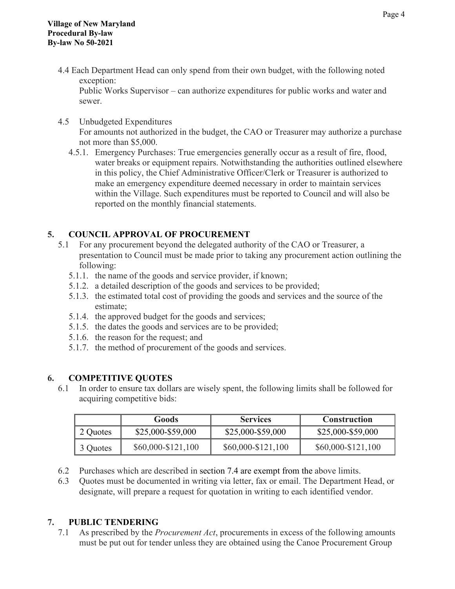4.4 Each Department Head can only spend from their own budget, with the following noted exception:

Public Works Supervisor – can authorize expenditures for public works and water and sewer.

- 4.5 Unbudgeted Expenditures For amounts not authorized in the budget, the CAO or Treasurer may authorize a purchase not more than \$5,000.
	- 4.5.1. Emergency Purchases: True emergencies generally occur as a result of fire, flood, water breaks or equipment repairs. Notwithstanding the authorities outlined elsewhere in this policy, the Chief Administrative Officer/Clerk or Treasurer is authorized to make an emergency expenditure deemed necessary in order to maintain services within the Village. Such expenditures must be reported to Council and will also be reported on the monthly financial statements.

# **5. COUNCIL APPROVAL OF PROCUREMENT**

- 5.1 For any procurement beyond the delegated authority of the CAO or Treasurer, a presentation to Council must be made prior to taking any procurement action outlining the following:
	- 5.1.1. the name of the goods and service provider, if known;
	- 5.1.2. a detailed description of the goods and services to be provided;
	- 5.1.3. the estimated total cost of providing the goods and services and the source of the estimate;
	- 5.1.4. the approved budget for the goods and services;
	- 5.1.5. the dates the goods and services are to be provided;
	- 5.1.6. the reason for the request; and
	- 5.1.7. the method of procurement of the goods and services.

# **6. COMPETITIVE QUOTES**

6.1 In order to ensure tax dollars are wisely spent, the following limits shall be followed for acquiring competitive bids:

|          | Goods              | <b>Services</b>    | <b>Construction</b> |
|----------|--------------------|--------------------|---------------------|
| 2 Quotes | \$25,000-\$59,000  | \$25,000-\$59,000  | \$25,000-\$59,000   |
| 3 Quotes | \$60,000-\$121,100 | \$60,000-\$121,100 | $$60,000-S121,100$  |

- 6.2 Purchases which are described in section 7.4 are exempt from the above limits.
- 6.3 Quotes must be documented in writing via letter, fax or email. The Department Head, or designate, will prepare a request for quotation in writing to each identified vendor.

# **7. PUBLIC TENDERING**

7.1 As prescribed by the *Procurement Act*, procurements in excess of the following amounts must be put out for tender unless they are obtained using the Canoe Procurement Group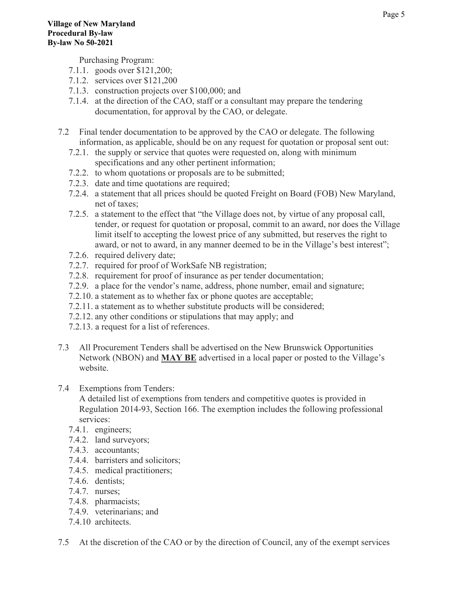Purchasing Program:

- 7.1.1. goods over \$121,200;
- 7.1.2. services over \$121,200
- 7.1.3. construction projects over \$100,000; and
- 7.1.4. at the direction of the CAO, staff or a consultant may prepare the tendering documentation, for approval by the CAO, or delegate.
- 7.2 Final tender documentation to be approved by the CAO or delegate. The following information, as applicable, should be on any request for quotation or proposal sent out:
	- 7.2.1. the supply or service that quotes were requested on, along with minimum specifications and any other pertinent information;
	- 7.2.2. to whom quotations or proposals are to be submitted;
	- 7.2.3. date and time quotations are required;
	- 7.2.4. a statement that all prices should be quoted Freight on Board (FOB) New Maryland, net of taxes;
	- 7.2.5. a statement to the effect that "the Village does not, by virtue of any proposal call, tender, or request for quotation or proposal, commit to an award, nor does the Village limit itself to accepting the lowest price of any submitted, but reserves the right to award, or not to award, in any manner deemed to be in the Village's best interest";
	- 7.2.6. required delivery date;
	- 7.2.7. required for proof of WorkSafe NB registration;
	- 7.2.8. requirement for proof of insurance as per tender documentation;
	- 7.2.9. a place for the vendor's name, address, phone number, email and signature;
	- 7.2.10. a statement as to whether fax or phone quotes are acceptable;
	- 7.2.11. a statement as to whether substitute products will be considered;
	- 7.2.12. any other conditions or stipulations that may apply; and
	- 7.2.13. a request for a list of references.
- 7.3 All Procurement Tenders shall be advertised on the New Brunswick Opportunities Network (NBON) and **MAY BE** advertised in a local paper or posted to the Village's website.
- 7.4 Exemptions from Tenders:

A detailed list of exemptions from tenders and competitive quotes is provided in Regulation 2014-93, Section 166. The exemption includes the following professional services:

- 7.4.1. engineers;
- 7.4.2. land surveyors;
- 7.4.3. accountants;
- 7.4.4. barristers and solicitors;
- 7.4.5. medical practitioners;
- 7.4.6. dentists;
- 7.4.7. nurses;
- 7.4.8. pharmacists;
- 7.4.9. veterinarians; and
- 7.4.10 architects.
- 7.5 At the discretion of the CAO or by the direction of Council, any of the exempt services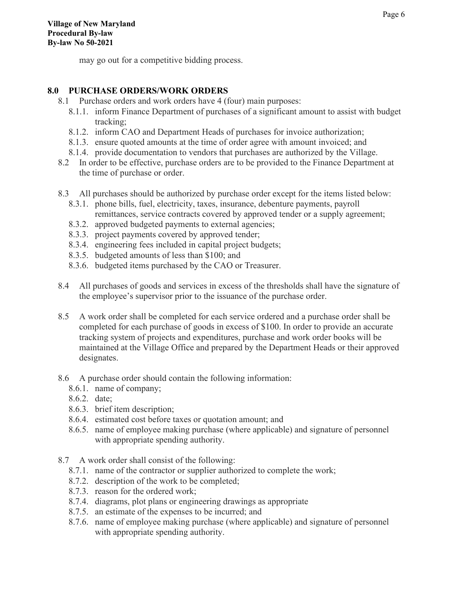may go out for a competitive bidding process.

#### **8.0 PURCHASE ORDERS/WORK ORDERS**

- 8.1 Purchase orders and work orders have 4 (four) main purposes:
	- 8.1.1. inform Finance Department of purchases of a significant amount to assist with budget tracking;
	- 8.1.2. inform CAO and Department Heads of purchases for invoice authorization;
	- 8.1.3. ensure quoted amounts at the time of order agree with amount invoiced; and
	- 8.1.4. provide documentation to vendors that purchases are authorized by the Village.
- 8.2 In order to be effective, purchase orders are to be provided to the Finance Department at the time of purchase or order.
- 8.3 All purchases should be authorized by purchase order except for the items listed below:
	- 8.3.1. phone bills, fuel, electricity, taxes, insurance, debenture payments, payroll remittances, service contracts covered by approved tender or a supply agreement;
	- 8.3.2. approved budgeted payments to external agencies;
	- 8.3.3. project payments covered by approved tender;
	- 8.3.4. engineering fees included in capital project budgets;
	- 8.3.5. budgeted amounts of less than \$100; and
	- 8.3.6. budgeted items purchased by the CAO or Treasurer.
- 8.4 All purchases of goods and services in excess of the thresholds shall have the signature of the employee's supervisor prior to the issuance of the purchase order.
- 8.5 A work order shall be completed for each service ordered and a purchase order shall be completed for each purchase of goods in excess of \$100. In order to provide an accurate tracking system of projects and expenditures, purchase and work order books will be maintained at the Village Office and prepared by the Department Heads or their approved designates.
- 8.6 A purchase order should contain the following information:
	- 8.6.1. name of company;
	- 8.6.2. date;
	- 8.6.3. brief item description;
	- 8.6.4. estimated cost before taxes or quotation amount; and
	- 8.6.5. name of employee making purchase (where applicable) and signature of personnel with appropriate spending authority.
- 8.7 A work order shall consist of the following:
	- 8.7.1. name of the contractor or supplier authorized to complete the work;
	- 8.7.2. description of the work to be completed;
	- 8.7.3. reason for the ordered work;
	- 8.7.4. diagrams, plot plans or engineering drawings as appropriate
	- 8.7.5. an estimate of the expenses to be incurred; and
	- 8.7.6. name of employee making purchase (where applicable) and signature of personnel with appropriate spending authority.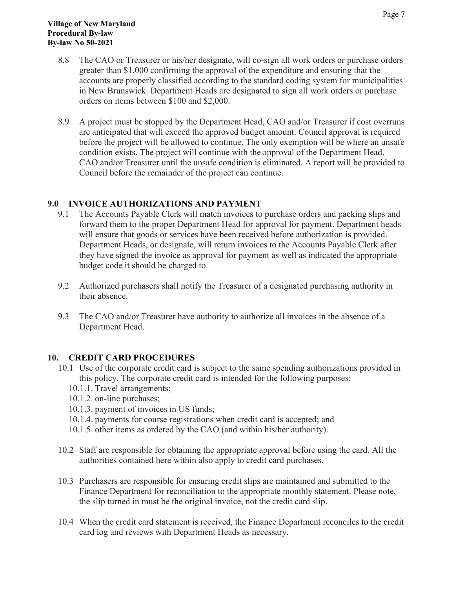- 8.8 The CAO or Treasurer or his/her designate, will co-sign all work orders or purchase orders greater than \$1,000 confirming the approval of the expenditure and ensuring that the accounts are properly classified according to the standard coding system for municipalities in New Brunswick. Department Heads are designated to sign all work orders or purchase orders on items between \$100 and \$2,000.
- 8.9 A project must be stopped by the Department Head, CAO and/or Treasurer if cost overruns are anticipated that will exceed the approved budget amount. Council approval is required before the project will be allowed to continue. The only exemption will be where an unsafe condition exists. The project will continue with the approval of the Department Head, CAO and/or Treasurer until the unsafe condition is eliminated. A report will be provided to Council before the remainder of the project can continue.

#### **9.0 INVOICE AUTHORIZATIONS AND PAYMENT**

- 9.1 The Accounts Payable Clerk will match invoices to purchase orders and packing slips and forward them to the proper Department Head for approval for payment. Department heads will ensure that goods or services have been received before authorization is provided. Department Heads, or designate, will return invoices to the Accounts Payable Clerk after they have signed the invoice as approval for payment as well as indicated the appropriate budget code it should be charged to.
- 9.2 Authorized purchasers shall notify the Treasurer of a designated purchasing authority in their absence.
- 9.3 The CAO and/or Treasurer have authority to authorize all invoices in the absence of a Department Head.

#### **10. CREDIT CARD PROCEDURES**

- 10.1 Use of the corporate credit card is subject to the same spending authorizations provided in this policy. The corporate credit card is intended for the following purposes:
	- 10.1.1. Travel arrangements;
	- 10.1.2. on-line purchases;
	- 10.1.3. payment of invoices in US funds;
	- 10.1.4. payments for course registrations when credit card is accepted; and
	- 10.1.5. other items as ordered by the CAO (and within his/her authority).
- 10.2 Staff are responsible for obtaining the appropriate approval before using the card. All the authorities contained here within also apply to credit card purchases.
- 10.3 Purchasers are responsible for ensuring credit slips are maintained and submitted to the Finance Department for reconciliation to the appropriate monthly statement. Please note, the slip turned in must be the original invoice, not the credit card slip.
- 10.4 When the credit card statement is received, the Finance Department reconciles to the credit card log and reviews with Department Heads as necessary.